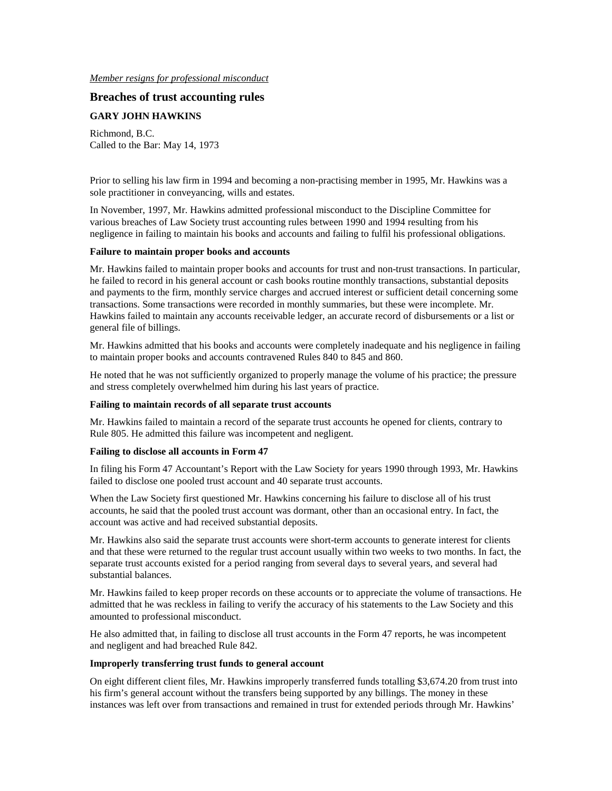### *Member resigns for professional misconduct*

# **Breaches of trust accounting rules**

# **GARY JOHN HAWKINS**

Richmond, B.C. Called to the Bar: May 14, 1973

Prior to selling his law firm in 1994 and becoming a non-practising member in 1995, Mr. Hawkins was a sole practitioner in conveyancing, wills and estates.

In November, 1997, Mr. Hawkins admitted professional misconduct to the Discipline Committee for various breaches of Law Society trust accounting rules between 1990 and 1994 resulting from his negligence in failing to maintain his books and accounts and failing to fulfil his professional obligations.

### **Failure to maintain proper books and accounts**

Mr. Hawkins failed to maintain proper books and accounts for trust and non-trust transactions. In particular, he failed to record in his general account or cash books routine monthly transactions, substantial deposits and payments to the firm, monthly service charges and accrued interest or sufficient detail concerning some transactions. Some transactions were recorded in monthly summaries, but these were incomplete. Mr. Hawkins failed to maintain any accounts receivable ledger, an accurate record of disbursements or a list or general file of billings.

Mr. Hawkins admitted that his books and accounts were completely inadequate and his negligence in failing to maintain proper books and accounts contravened Rules 840 to 845 and 860.

He noted that he was not sufficiently organized to properly manage the volume of his practice; the pressure and stress completely overwhelmed him during his last years of practice.

#### **Failing to maintain records of all separate trust accounts**

Mr. Hawkins failed to maintain a record of the separate trust accounts he opened for clients, contrary to Rule 805. He admitted this failure was incompetent and negligent.

## **Failing to disclose all accounts in Form 47**

In filing his Form 47 Accountant's Report with the Law Society for years 1990 through 1993, Mr. Hawkins failed to disclose one pooled trust account and 40 separate trust accounts.

When the Law Society first questioned Mr. Hawkins concerning his failure to disclose all of his trust accounts, he said that the pooled trust account was dormant, other than an occasional entry. In fact, the account was active and had received substantial deposits.

Mr. Hawkins also said the separate trust accounts were short-term accounts to generate interest for clients and that these were returned to the regular trust account usually within two weeks to two months. In fact, the separate trust accounts existed for a period ranging from several days to several years, and several had substantial balances.

Mr. Hawkins failed to keep proper records on these accounts or to appreciate the volume of transactions. He admitted that he was reckless in failing to verify the accuracy of his statements to the Law Society and this amounted to professional misconduct.

He also admitted that, in failing to disclose all trust accounts in the Form 47 reports, he was incompetent and negligent and had breached Rule 842.

## **Improperly transferring trust funds to general account**

On eight different client files, Mr. Hawkins improperly transferred funds totalling \$3,674.20 from trust into his firm's general account without the transfers being supported by any billings. The money in these instances was left over from transactions and remained in trust for extended periods through Mr. Hawkins'